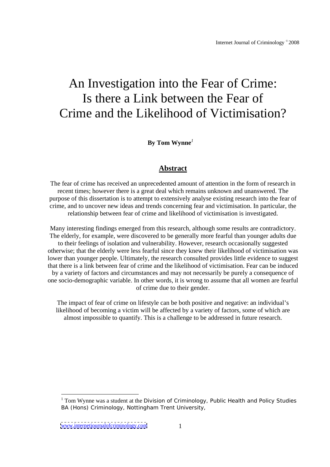# An Investigation into the Fear of Crime: Is there a Link between the Fear of Crime and the Likelihood of Victimisation?

**By Tom Wynne***<sup>1</sup>*

## **Abstract**

The fear of crime has received an unprecedented amount of attention in the form of research in recent times; however there is a great deal which remains unknown and unanswered. The purpose of this dissertation is to attempt to extensively analyse existing research into the fear of crime, and to uncover new ideas and trends concerning fear and victimisation. In particular, the relationship between fear of crime and likelihood of victimisation is investigated.

Many interesting findings emerged from this research, although some results are contradictory. The elderly, for example, were discovered to be generally more fearful than younger adults due to their feelings of isolation and vulnerability. However, research occasionally suggested otherwise; that the elderly were less fearful since they knew their likelihood of victimisation was lower than younger people. Ultimately, the research consulted provides little evidence to suggest that there is a link between fear of crime and the likelihood of victimisation. Fear can be induced by a variety of factors and circumstances and may not necessarily be purely a consequence of one socio-demographic variable. In other words, it is wrong to assume that all women are fearful of crime due to their gender.

The impact of fear of crime on lifestyle can be both positive and negative: an individual's likelihood of becoming a victim will be affected by a variety of factors, some of which are almost impossible to quantify. This is a challenge to be addressed in future research.

<sup>&</sup>lt;sup>1</sup> Tom Wynne was a student at the Division of Criminology, Public Health and Policy Studies BA (Hons) Criminology, Nottingham Trent University,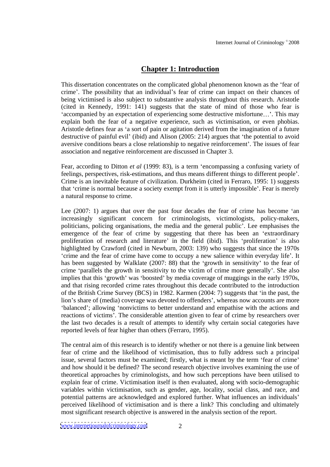# **Chapter 1: Introduction**

This dissertation concentrates on the complicated global phenomenon known as the 'fear of crime. The possibility that an individual's fear of crime can impact on their chances of being victimised is also subject to substantive analysis throughout this research. Aristotle (cited in Kennedy, 1991: 141) suggests that the state of mind of those who fear is 'accompanied by an expectation of experiencing some destructive misfortune...'. This may explain both the fear of a negative experience, such as victimisation, or even phobias. Aristotle defines fear as 'a sort of pain or agitation derived from the imagination of a future destructive of painful evil' (ibid) and Alison  $(2005: 214)$  argues that 'the potential to avoid aversive conditions bears a close relationship to negative reinforcement'. The issues of fear association and negative reinforcement are discussed in Chapter 3.

Fear, according to Ditton *et al* (1999: 83), is a term 'encompassing a confusing variety of feelings, perspectives, risk-estimations, and thus means different things to different people . Crime is an inevitable feature of civilization. Durkheim (cited in Ferraro, 1995: 1) suggests that 'crime is normal because a society exempt from it is utterly impossible'. Fear is merely a natural response to crime.

Lee  $(2007: 1)$  argues that over the past four decades the fear of crime has become 'an increasingly significant concern for criminologists, victimologists, policy-makers, politicians, policing organisations, the media and the general public . Lee emphasises the emergence of the fear of crime by suggesting that there has been an 'extraordinary proliferation of research and literature' in the field (ibid). This 'proliferation' is also highlighted by Crawford (cited in Newburn, 2003: 139) who suggests that since the 1970s crime and the fear of crime have come to occupy a new salience within everyday life . It has been suggested by Walklate (2007: 88) that the 'growth in sensitivity' to the fear of crime 'parallels the growth in sensitivity to the victim of crime more generally'. She also implies that this 'growth' was 'boosted' by media coverage of muggings in the early 1970s, and that rising recorded crime rates throughout this decade contributed to the introduction of the British Crime Survey (BCS) in 1982. Karmen (2004: 7) suggests that 'in the past, the lion's share of (media) coverage was devoted to offenders', whereas now accounts are more 'balanced'; allowing 'nonvictims to better understand and empathise with the actions and reactions of victims . The considerable attention given to fear of crime by researchers over the last two decades is a result of attempts to identify why certain social categories have reported levels of fear higher than others (Ferraro, 1995).

The central aim of this research is to identify whether or not there is a genuine link between fear of crime and the likelihood of victimisation, thus to fully address such a principal issue, several factors must be examined; firstly, what is meant by the term 'fear of crime' and how should it be defined? The second research objective involves examining the use of theoretical approaches by criminologists, and how such perceptions have been utilised to explain fear of crime. Victimisation itself is then evaluated, along with socio-demographic variables within victimisation, such as gender, age, locality, social class, and race, and potential patterns are acknowledged and explored further. What influences an individuals perceived likelihood of victimisation and is there a link? This concluding and ultimately most significant research objective is answered in the analysis section of the report.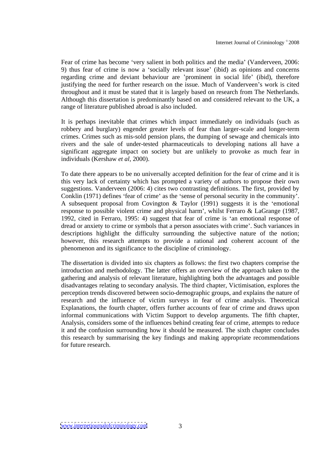Fear of crime has become 'very salient in both politics and the media' (Vanderveen, 2006: 9) thus fear of crime is now a 'socially relevant issue' (ibid) as opinions and concerns regarding crime and deviant behaviour are 'prominent in social life' (ibid), therefore justifying the need for further research on the issue. Much of Vanderveen's work is cited throughout and it must be stated that it is largely based on research from The Netherlands. Although this dissertation is predominantly based on and considered relevant to the UK, a range of literature published abroad is also included.

It is perhaps inevitable that crimes which impact immediately on individuals (such as robbery and burglary) engender greater levels of fear than larger-scale and longer-term crimes. Crimes such as mis-sold pension plans, the dumping of sewage and chemicals into rivers and the sale of under-tested pharmaceuticals to developing nations all have a significant aggregate impact on society but are unlikely to provoke as much fear in individuals (Kershaw *et al,* 2000).

To date there appears to be no universally accepted definition for the fear of crime and it is this very lack of certainty which has prompted a variety of authors to propose their own suggestions. Vanderveen (2006: 4) cites two contrasting definitions. The first, provided by Conklin (1971) defines 'fear of crime' as the 'sense of personal security in the community'. A subsequent proposal from Covington  $& Taylor (1991)$  suggests it is the 'emotional response to possible violent crime and physical harm', whilst Ferraro & LaGrange (1987, 1992, cited in Ferraro, 1995: 4) suggest that fear of crime is 'an emotional response of dread or anxiety to crime or symbols that a person associates with crime . Such variances in descriptions highlight the difficulty surrounding the subjective nature of the notion; however, this research attempts to provide a rational and coherent account of the phenomenon and its significance to the discipline of criminology.

The dissertation is divided into six chapters as follows: the first two chapters comprise the introduction and methodology. The latter offers an overview of the approach taken to the gathering and analysis of relevant literature, highlighting both the advantages and possible disadvantages relating to secondary analysis. The third chapter, Victimisation, explores the perception trends discovered between socio-demographic groups, and explains the nature of research and the influence of victim surveys in fear of crime analysis. Theoretical Explanations, the fourth chapter, offers further accounts of fear of crime and draws upon informal communications with Victim Support to develop arguments. The fifth chapter, Analysis, considers some of the influences behind creating fear of crime, attempts to reduce it and the confusion surrounding how it should be measured. The sixth chapter concludes this research by summarising the key findings and making appropriate recommendations for future research.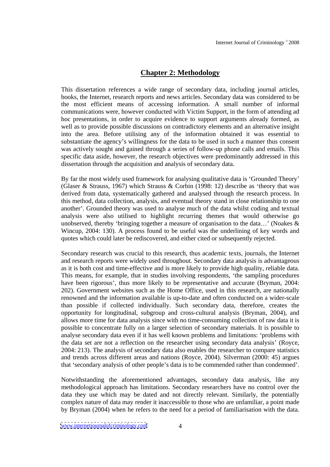## **Chapter 2: Methodology**

This dissertation references a wide range of secondary data, including journal articles, books, the Internet, research reports and news articles. Secondary data was considered to be the most efficient means of accessing information. A small number of informal communications were, however conducted with Victim Support, in the form of attending ad hoc presentations, in order to acquire evidence to support arguments already formed, as well as to provide possible discussions on contradictory elements and an alternative insight into the area. Before utilising any of the information obtained it was essential to substantiate the agency's willingness for the data to be used in such a manner thus consent was actively sought and gained through a series of follow-up phone calls and emails. This specific data aside, however, the research objectives were predominantly addressed in this dissertation through the acquisition and analysis of secondary data.

By far the most widely used framework for analysing qualitative data is 'Grounded Theory' (Glaser & Strauss, 1967) which Strauss & Corbin (1998: 12) describe as 'theory that was derived from data, systematically gathered and analysed through the research process. In this method, data collection, analysis, and eventual theory stand in close relationship to one another'. Grounded theory was used to analyse much of the data whilst coding and textual analysis were also utilised to highlight recurring themes that would otherwise go unobserved, thereby 'bringing together a measure of organisation to the data...' (Noakes  $\&$ Wincup, 2004: 130). A process found to be useful was the underlining of key words and quotes which could later be rediscovered, and either cited or subsequently rejected.

Secondary research was crucial to this research, thus academic texts, journals, the Internet and research reports were widely used throughout. Secondary data analysis is advantageous as it is both cost and time-effective and is more likely to provide high quality, reliable data. This means, for example, that in studies involving respondents, the sampling procedures have been rigorous', thus more likely to be representative and accurate (Bryman, 2004: 202). Government websites such as the Home Office, used in this research, are nationally renowned and the information available is up-to-date and often conducted on a wider-scale than possible if collected individually. Such secondary data, therefore, creates the opportunity for longitudinal, subgroup and cross-cultural analysis (Bryman, 2004), and allows more time for data analysis since with no time-consuming collection of raw data it is possible to concentrate fully on a larger selection of secondary materials. It is possible to analyse secondary data even if it has well known problems and limitations: 'problems with the data set are not a reflection on the researcher using secondary data analysis' (Royce, 2004: 213). The analysis of secondary data also enables the researcher to compare statistics and trends across different areas and nations (Royce, 2004). Silverman (2000: 45) argues that 'secondary analysis of other people's data is to be commended rather than condemned'.

Notwithstanding the aforementioned advantages, secondary data analysis, like any methodological approach has limitations. Secondary researchers have no control over the data they use which may be dated and not directly relevant. Similarly, the potentially complex nature of data may render it inaccessible to those who are unfamiliar, a point made by Bryman (2004) when he refers to the need for a period of familiarisation with the data.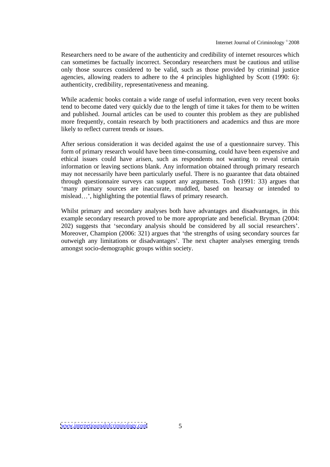Researchers need to be aware of the authenticity and credibility of internet resources which can sometimes be factually incorrect. Secondary researchers must be cautious and utilise only those sources considered to be valid, such as those provided by criminal justice agencies, allowing readers to adhere to the 4 principles highlighted by Scott (1990: 6): authenticity, credibility, representativeness and meaning.

While academic books contain a wide range of useful information, even very recent books tend to become dated very quickly due to the length of time it takes for them to be written and published. Journal articles can be used to counterthis problem as they are published more frequently, contain research by both practitioners and academics and thus are more likely to reflect current trends or issues.

After serious consideration it was decided against the use of a questionnaire survey. This form of primary research would have been time-consuming, could have been expensive and ethical issues could have arisen, such as respondents not wanting to reveal certain information or leaving sections blank. Any information obtained through primary research may not necessarily have been particularly useful. There is no guarantee that data obtained through questionnaire surveys can support any arguments. Tosh (1991: 33) argues that many primary sources are inaccurate, muddled, based on hearsay or intended to mislead...', highlighting the potential flaws of primary research.

Whilst primary and secondary analyses both have advantages and disadvantages, in this example secondary research proved to be more appropriate and beneficial. Bryman (2004: 202) suggests that 'secondary analysis should be considered by all social researchers'. Moreover, Champion (2006: 321) argues that 'the strengths of using secondary sources far outweigh any limitations or disadvantages'. The next chapter analyses emerging trends amongst socio-demographic groups within society.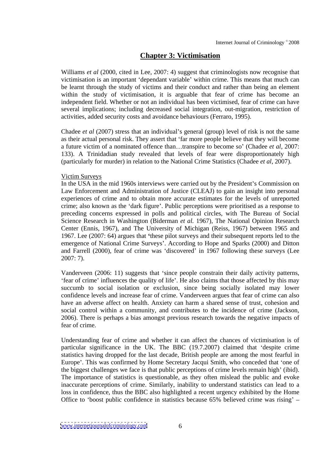## **Chapter 3: Victimisation**

Williams *et al* (2000, cited in Lee, 2007: 4) suggest that criminologists now recognise that victimisation is an important 'dependant variable' within crime. This means that much can be learnt through the study of victims and their conduct and rather than being an element within the study of victimisation, it is arguable that fear of crime has become an independent field. Whether or not an individual has been victimised, fear of crime can have several implications; including decreased social integration, out-migration, restriction of activities, added security costs and avoidance behaviours (Ferraro, 1995).

Chadee *et al* (2007) stress that an individual's general (group) level of risk is not the same as their actual personal risk. They assert that 'far more people believe that they will become a future victim of a nominated offence than...transpire to become so' (Chadee *et al*, 2007: 133). A Trinidadian study revealed that levels of fear were disproportionately high (particularly for murder) in relation to the National Crime Statistics (Chadee *et al*, 2007).

#### Victim Surveys

In the USA in the mid 1960s interviews were carried out by the President's Commission on Law Enforcement and Administration of Justice (CLEAJ) to gain an insight into personal experiences of crime and to obtain more accurate estimates for the levels of unreported crime; also known as the 'dark figure'. Public perceptions were prioritised as a response to preceding concerns expressed in polls and political circles, with The Bureau of Social Science Research in Washington (Biderman *et al.* 1967), The National Opinion Research Center (Ennis, 1967), and The University of Michigan (Reiss, 1967) between 1965 and 1967. Lee (2007: 64) argues that 'these pilot surveys and their subsequent reports led to the emergence of National Crime Surveys'. According to Hope and Sparks (2000) and Ditton and Farrell (2000), fear of crime was 'discovered' in 1967 following these surveys (Lee 2007: 7).

Vanderveen (2006: 11) suggests that 'since people constrain their daily activity patterns, 'fear of crime' influences the quality of life'. He also claims that those affected by this may succumb to social isolation or exclusion, since being socially isolated may lower confidence levels and increase fear of crime. Vanderveen argues that fear of crime can also have an adverse affect on health. Anxiety can harm a shared sense of trust, cohesion and social control within a community, and contributes to the incidence of crime (Jackson, 2006). There is perhaps a bias amongst previous research towards the negative impacts of fear of crime.

Understanding fear of crime and whether it can affect the chances of victimisation is of particular significance in the UK. The BBC (19.7.2007) claimed that 'despite crime statistics having dropped for the last decade, British people are among the most fearful in Europe'. This was confirmed by Home Secretary Jacqui Smith, who conceded that 'one of the biggest challenges we face is that public perceptions of crime levels remain high' (ibid). The importance of statistics is questionable, as they often mislead the public and evoke inaccurate perceptions of crime. Similarly, inability to understand statistics can lead to a loss in confidence, thus the BBC also highlighted a recent urgency exhibited by the Home Office to 'boost public confidence in statistics because 65% believed crime was rising'  $-$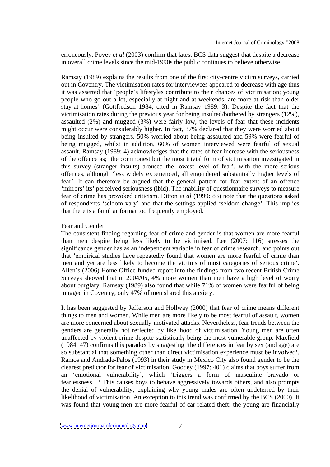erroneously. Povey *et al* (2003) confirm that latest BCS data suggest that despite a decrease in overall crime levels since the mid-1990s the public continues to believe otherwise.

Ramsay (1989) explains the results from one of the first city-centre victim surveys, carried out in Coventry. The victimisation rates for interviewees appeared to decrease with age thus it was asserted that 'people's lifestyles contribute to their chances of victimisation; young people who go out a lot, especially at night and at weekends, are more at risk than older stay-at-homes (Gottfredson 1984, cited in Ramsay 1989: 3). Despite the fact that the victimisation rates during the previous year for being insulted/bothered by strangers (12%), assaulted (2%) and mugged (3%) were fairly low, the levels of fear that these incidents might occur were considerably higher. In fact, 37% declared that they were worried about being insulted by strangers, 50% worried about being assaulted and 59% were fearful of being mugged, whilst in addition, 60% of women interviewed were fearful of sexual assault. Ramsay (1989: 4) acknowledges that the rates of fear increase with the seriousness of the offence as; the commonest but the most trivial form of victimisation investigated in this survey (stranger insults) aroused the lowest level of fear , with the more serious offences, although 'less widely experienced, all engendered substantially higher levels of fear'. It can therefore be argued that the general pattern for fear extent of an offence 'mirrors' its' perceived seriousness (ibid). The inability of questionnaire surveys to measure fear of crime has provoked criticism. Ditton *et al* (1999: 83) note that the questions asked of respondents 'seldom vary' and that the settings applied 'seldom change'. This implies that there is a familiar format too frequently employed.

## Fear and Gender **Fear** and Gender **Fear** and Gender **Fear and Gender**

The consistent finding regarding fear of crime and gender is that women are more fearful than men despite being less likely to be victimised. Lee (2007: 116) stresses the significance gender has as an independent variable in fear of crime research, and points out that 'empirical studies have repeatedly found that women are more fearful of crime than men and yet are less likely to become the victims of most categories of serious crime'.<br>Allen's (2006) Home Office-funded report into the findings from two recent British Crime Surveys showed that in 2004/05, 4% more women than men have a high level of worry about burglary. Ramsay (1989) also found that while 71% of women were fearful of being mugged in Coventry, only 47% of men shared this anxiety.

It has been suggested by Jefferson and Hollway (2000) that fear of crime means different things to men and women. While men are more likely to be most fearful of assault, women are more concerned about sexually-motivated attacks. Nevertheless, fear trends between the genders are generally not reflected by likelihood of victimisation. Young men are often unaffected by violent crime despite statistically being the most vulnerable group. Maxfield  $(1984: 47)$  confirms this paradox by suggesting 'the differences in fear by sex (and age) are so substantial that something other than direct victimisation experience must be involved . Ramos and Andrade-Palos (1993) in their study in Mexico City also found gender to be the clearest predictor for fear of victimisation. Goodey (1997: 401) claims that boys suffer from an 'emotional vulnerability', which 'triggers a form of masculine bravado or fearlessness...' This causes boys to behave aggressively towards others, and also prompts the denial of vulnerability; explaining why young males are often undeterred by their likelihood of victimisation. An exception to this trend was confirmed by the BCS (2000). It was found that young men are more fearful of car-related theft: the young are financially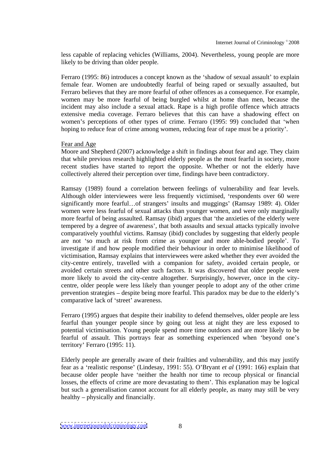less capable of replacing vehicles (Williams, 2004). Nevertheless, young people are more likely to be driving than older people.

Ferraro (1995: 86) introduces a concept known as the 'shadow of sexual assault' to explain female fear. Women are undoubtedly fearful of being raped or sexually assaulted, but Ferraro believes that they are more fearful of other offences as a consequence. For example, women may be more fearful of being burgled whilst at home than men, because the incident may also include a sexual attack. Rape is a high profile offence which attracts extensive media coverage. Ferraro believes that this can have a shadowing effect on women's perceptions of other types of crime. Ferraro (1995: 99) concluded that 'when hoping to reduce fear of crime among women, reducing fear of rape must be a priority'.

## Fear and Age **Fear** and Age **Fear** and Age **Fear** and Age **Fear** and Age **Fear** and Age **Fear** and Age **Fear** and Age **Fear** and Age **Fear** and Age **Fear** and Age **Fear** and Age **Fear** and Age **Fear** and Age **Fear** and Age

Moore and Shepherd (2007) acknowledge a shift in findings about fear and age. They claim that while previous research highlighted elderly people as the most fearful in society, more recent studies have started to report the opposite. Whether or not the elderly have collectively altered their perception over time, findings have been contradictory.

Ramsay (1989) found a correlation between feelings of vulnerability and fear levels. Although older interviewees were less frequently victimised, 'respondents over 60 were significantly more fearful...of strangers' insults and muggings' (Ramsay 1989: 4). Older women were less fearful of sexual attacks than younger women, and were only marginally more fearful of being assaulted. Ramsay (ibid) argues that 'the anxieties of the elderly were tempered by a degree of awareness', that both assaults and sexual attacks typically involve comparatively youthful victims. Ramsay (ibid) concludes by suggesting that elderly people are not so much at risk from crime as younger and more able-bodied people . To investigate if and how people modified their behaviour in order to minimise likelihood of victimisation, Ramsay explains that interviewees were asked whether they ever avoided the city-centre entirely, travelled with a companion for safety, avoided certain people, or avoided certain streets and other such factors. It was discovered that older people were more likely to avoid the city-centre altogether. Surprisingly, however, once in the city centre, older people were less likely than younger people to adopt any of the other crime prevention strategies – despite being more fearful. This paradox may be due to the elderly's comparative lack of 'street' awareness.

Ferraro (1995) argues that despite their inability to defend themselves, older people are less fearful than younger people since by going out less at night they are less exposed to potential victimisation. Young people spend more time outdoors and are more likely to be fearful of assault. This portrays fear as something experienced when 'beyond one's territory' Ferraro (1995: 11).

Elderly people are generally aware of their frailties and vulnerability, and this may justify fear as a 'realistic response' (Lindesay, 1991: 55). O'Bryant *et al* (1991: 166) explain that because older people have neither the health nor time to recoup physical or financial losses, the effects of crime are more devastating to them'. This explanation may be logical but such a generalisation cannot account for all elderly people, as many may still be very healthy  $-$  physically and financially.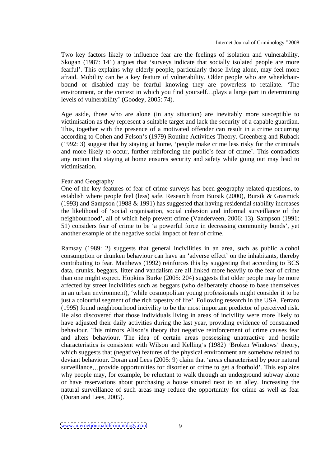Two key factors likely to influence fear are the feelings of isolation and vulnerability. Skogan (1987: 141) argues that 'surveys indicate that socially isolated people are more fearful'. This explains why elderly people, particularly those living alone, may feel more afraid. Mobility can be a key feature of vulnerability. Older people who are wheelchair bound or disabled may be fearful knowing they are powerless to retaliate. The environment, or the context in which you find yourself...plays a large part in determining levels of vulnerability' (Goodey, 2005: 74).

Age aside, those who are alone (in any situation) are inevitably more susceptible to victimisation as they represent a suitable target and lack the security of a capable guardian. This, together with the presence of a motivated offender can result in a crime occurring according to Cohen and Felson's (1979) Routine Activities Theory. Greenberg and Ruback  $(1992: 3)$  suggest that by staying at home, 'people make crime less risky for the criminals and more likely to occur, further reinforcing the public's fear of crime'. This contradicts any notion that staying at home ensures security and safety while going out may lead to victimisation.

#### Fear and Geography **Fear** and Geography

One of the key features of fear of crime surveys has been geography-related questions, to establish where people feel (less) safe. Research from Bursik (2000), Bursik & Grasmick (1993) and Sampson (1988  $&$  1991) has suggested that having residential stability increases the likelihood of 'social organisation, social cohesion and informal surveillance of the neighbourhood , all of which help prevent crime (Vanderveen, 2006: 13). Sampson (1991: 51) considers fear of crime to be 'a powerful force in decreasing community bonds', yet another example of the negative social impact of fear of crime.

Ramsay (1989: 2) suggests that general incivilities in an area, such as public alcohol consumption or drunken behaviour can have an 'adverse effect' on the inhabitants, thereby contributing to fear. Matthews (1992) reinforces this by suggesting that according to BCS data, drunks, beggars, litter and vandalism are all linked more heavily to the fear of crime than one might expect. Hopkins Burke (2005: 204) suggests that older people may be more affected by street incivilities such as beggars (who deliberately choose to base themselves in an urban environment), 'while cosmopolitan young professionals might consider it to be just a colourful segment of the rich tapestry of life'. Following research in the USA, Ferraro (1995) found neighbourhood incivility to be the most important predictor of perceived risk. He also discovered that those individuals living in areas of incivility were more likely to have adjusted their daily activities during the last year, providing evidence of constrained behaviour. This mirrors Alison's theory that negative reinforcement of crime causes fear and alters behaviour. The idea of certain areas possessing unattractive and hostile characteristics is consistent with Wilson and Kelling's (1982) 'Broken Windows' theory, which suggests that (negative) features of the physical environment are somehow related to deviant behaviour. Doran and Lees (2005: 9) claim that 'areas characterised by poor natural surveillance...provide opportunities for disorder or crime to get a foothold'. This explains why people may, for example, be reluctant to walk through an underground subway alone or have reservations about purchasing a house situated next to an alley. Increasing the natural surveillance of such areas may reduce the opportunity for crime as well as fear (Doran and Lees, 2005).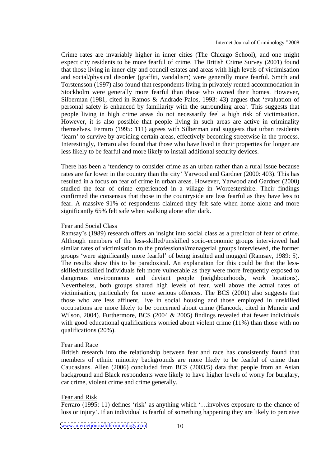Crime rates are invariably higher in inner cities (The Chicago School), and one might expect city residents to be more fearful of crime. The British Crime Survey (2001) found that those living in inner-city and council estates and areas with high levels of victimisation and social/physical disorder (graffiti, vandalism) were generally more fearful. Smith and Torstensson (1997) also found that respondents living in privately rented accommodation in Stockholm were generally more fearful than those who owned their homes. However, Silberman (1981, cited in Ramos & Andrade-Palos, 1993: 43) argues that 'evaluation of personal safety is enhanced by familiarity with the surrounding area'. This suggests that people living in high crime areas do not necessarily feel a high risk of victimisation. However, it is also possible that people living in such areas are active in criminality themselves. Ferraro (1995: 111) agrees with Silberman and suggests that urban residents 'learn' to survive by avoiding certain areas, effectively becoming streetwise in the process. Interestingly, Ferraro also found that those who have lived in their properties for longer are less likely to be fearful and more likely to install additional security devices.

There has been a 'tendency to consider crime as an urban rather than a rural issue because rates are far lower in the country than the city' Yarwood and Gardner (2000: 403). This has resulted in a focus on fear of crime in urban areas. However, Yarwood and Gardner (2000) studied the fear of crime experienced in a village in Worcestershire. Their findings confirmed the consensus that those in the countryside are less fearful as they have less to fear. A massive 91% of respondents claimed they felt safe when home alone and more significantly 65% felt safe when walking alone after dark.

## Fear and Social Class

Ramsay's (1989) research offers an insight into social class as a predictor of fear of crime. Although members of the less-skilled/unskilled socio-economic groups interviewed had similar rates of victimisation to the professional/managerial groups interviewed, the former groups 'were significantly more fearful' of being insulted and mugged (Ramsay, 1989: 5). The results show this to be paradoxical. An explanation for this could be that the less-skilled/unskilled individuals felt more vulnerable as they were more frequently exposed to dangerous environments and deviant people (neighbourhoods, work locations). Nevertheless, both groups shared high levels of fear, well above the actual rates of victimisation, particularly for more serious offences. The BCS (2001) also suggests that those who are less affluent, live in social housing and those employed in unskilled occupations are more likely to be concerned about crime (Hancock, cited in Muncie and Wilson, 2004). Furthermore, BCS (2004 & 2005) findings revealed that fewer individuals with good educational qualifications worried about violent crime (11%) than those with no qualifications (20%).

#### Fear and Race **Fear** and Race **Fear** and Race **Fear** and Race **Fear and Race**

British research into the relationship between fear and race has consistently found that members of ethnic minority backgrounds are more likely to be fearful of crime than Caucasians. Allen (2006) concluded from BCS (2003/5) data that people from an Asian background and Black respondents were likely to have higher levels of worry for burglary, car crime, violent crime and crime generally.

#### Fear and Risk experience of the state of the state of the state of the state of the state of the state of the state of the state of the state of the state of the state of the state of the state of the state of the state of

Ferraro (1995: 11) defines 'risk' as anything which '... involves exposure to the chance of loss or injury'. If an individual is fearful of something happening they are likely to perceive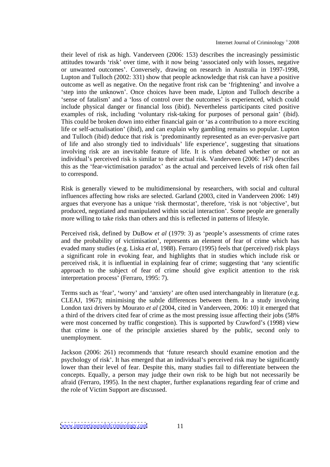their level of risk as high. Vanderveen (2006: 153) describes the increasingly pessimistic attitudes towards 'risk' over time, with it now being 'associated only with losses, negative or unwanted outcomes'. Conversely, drawing on research in Australia in 1997-1998, Lupton and Tulloch (2002: 331) show that people acknowledge that risk can have a positive outcome as well as negative. On the negative front risk can be 'frightening' and involve a step into the unknown . Once choices have been made, Lipton and Tulloch describe a sense of fatalism and a loss of control over the outcomes is experienced, which could include physical danger or financial loss (ibid). Nevertheless participants cited positive examples of risk, including 'voluntary risk-taking for purposes of personal gain' (ibid). This could be broken down into either financial gain or 'as a contribution to a more exciting life or self-actualisation' (ibid), and can explain why gambling remains so popular. Lupton and Tulloch (ibid) deduce that risk is 'predominantly represented as an ever-pervasive part of life and also strongly tied to individuals' life experience', suggesting that situations involving risk are an inevitable feature of life. It is often debated whether or not an individual's perceived risk is similar to their actual risk. Vanderveen (2006: 147) describes this as the 'fear-victimisation paradox' as the actual and perceived levels of risk often fail to correspond.

Risk is generally viewed to be multidimensional by researchers, with social and cultural influences affecting how risks are selected. Garland (2003, cited in Vanderveen 2006: 149) argues that everyone has a unique 'risk thermostat', therefore, 'risk is not 'objective', but produced, negotiated and manipulated within social interaction . Some people are generally more willing to take risks than others and this is reflected in patterns of lifestyle.

Perceived risk, defined by DuBow *et al* (1979: 3) as 'people's assessments of crime rates and the probability of victimisation', represents an element of fear of crime which has evaded many studies (e.g. Liska *et al*, 1988). Ferraro (1995) feels that (perceived) risk plays a significant role in evoking fear, and highlights that in studies which include risk or perceived risk, it is influential in explaining fear of crime; suggesting that 'any scientific approach to the subject of fear of crime should give explicit attention to the risk interpretation process' (Ferraro, 1995: 7).

Terms such as 'fear', 'worry' and 'anxiety' are often used interchangeably in literature (e.g. CLEAJ, 1967); minimising the subtle differences between them. In a study involving London taxi drivers by Mourato *et al* (2004, cited in Vanderveen, 2006: 10) it emerged that a third of the drivers cited fear of crime as the most pressing issue affecting their jobs (58% were most concerned by traffic congestion). This is supported by Crawford's (1998) view that crime is one of the principle anxieties shared by the public, second only to unemployment.

Jackson (2006: 261) recommends that future research should examine emotion and the psychology of risk'. It has emerged that an individual's perceived risk may be significantly lower than their level of fear. Despite this, many studies fail to differentiate between the concepts. Equally, a person may judge their own risk to be high but not necessarily be afraid (Ferraro, 1995). In the next chapter, further explanations regarding fear of crime and the role of Victim Support are discussed.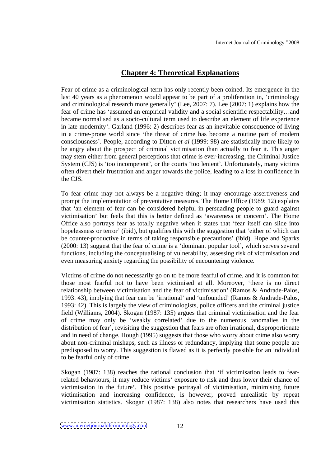## **Chapter 4: Theoretical Explanations**

Fear of crime as a criminological term has only recently been coined. Its emergence in the last 40 years as a phenomenon would appear to be part of a proliferation in, 'criminology and criminological research more generally (Lee, 2007: 7). Lee (2007: 1) explains how the fear of crime has 'assumed an empirical validity and a social scientific respectability...and became normalised as a socio-cultural term used to describe an element of life experience in late modernity . Garland (1996: 2) describes fear as an inevitable consequence of living in a crime-prone world since 'the threat of crime has become a routine part of modern consciousness . People, according to Ditton *et al* (1999: 98) are statistically more likely to be angry about the prospect of criminal victimisation than actually to fear it. This anger may stem either from general perceptions that crime is ever-increasing, the Criminal Justice System (CJS) is 'too incompetent', or the courts 'too lenient'. Unfortunately, many victims often divert their frustration and anger towards the police, leading to a loss in confidence in the CJS.

To fear crime may not always be a negative thing; it may encourage assertiveness and prompt the implementation of preventative measures. The Home Office (1989: 12) explains that 'an element of fear can be considered helpful in persuading people to guard against victimisation' but feels that this is better defined as 'awareness or concern'. The Home Office also portrays fear as totally negative when it states that 'fear itself can slide into hopelessness or terror' (ibid), but qualifies this with the suggestion that 'either of which can be counter-productive in terms of taking responsible precautions' (ibid). Hope and Sparks  $(2000: 13)$  suggest that the fear of crime is a 'dominant popular tool', which serves several functions, including the conceptualising of vulnerability, assessing risk of victimisation and even measuring anxiety regarding the possibility of encountering violence.

Victims of crime do not necessarily go on to be more fearful of crime, and it is common for those most fearful not to have been victimised at all. Moreover, there is no direct relationship between victimisation and the fear of victimisation' (Ramos & Andrade-Palos, 1993: 43), implying that fear can be 'irrational' and 'unfounded' (Ramos & Andrade-Palos, 1993: 42). This is largely the view of criminologists, police officers and the criminal justice field (Williams, 2004). Skogan (1987: 135) argues that criminal victimisation and the fear of crime may only be 'weakly correlated' due to the numerous 'anomalies in the distribution of fear', revisiting the suggestion that fears are often irrational, disproportionate and in need of change. Hough (1995) suggests that those who worry about crime also worry about non-criminal mishaps, such as illness or redundancy, implying that some people are predisposed to worry. This suggestion is flawed as it is perfectly possible for an individual to be fearful only of crime.

Skogan (1987: 138) reaches the rational conclusion that 'if victimisation leads to fearrelated behaviours, it may reduce victims' exposure to risk and thus lower their chance of victimisation in the future'. This positive portraval of victimisation, minimising future victimisation and increasing confidence, is however, proved unrealistic by repeat victimisation statistics. Skogan (1987: 138) also notes that researchers have used this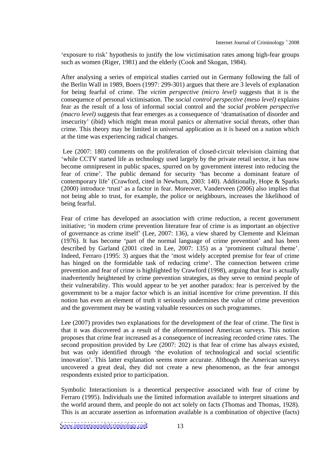'exposure to risk' hypothesis to justify the low victimisation rates among high-fear groups such as women (Riger, 1981) and the elderly (Cook and Skogan, 1984).

After analysing a series of empirical studies carried out in Germany following the fall of the Berlin Wall in 1989, Boers (1997: 299-301) argues that there are 3 levels of explanation for being fearful of crime. The *victim perspective (micro level)* suggests that it is the consequence of personal victimisation. The *social control perspective (meso level)* explains fear as the result of a loss of informal social control and the *social problem perspective (macro level)* suggests that fear emerges as a consequence of dramatisation of disorder and insecurity' (ibid) which might mean moral panics or alternative social threats, other than crime. This theory may be limited in universal application as it is based on a nation which at the time was experiencing radical changes.

Lee (2007: 180) comments on the proliferation of closed-circuit television claiming that while CCTV started life as technology used largely by the private retail sector, it has now become omnipresent in public spaces, spurred on by government interest into reducing the fear of crime'. The public demand for security 'has become a dominant feature of contemporary life' (Crawford, cited in Newburn, 2003: 140). Additionally, Hope & Sparks  $(2000)$  introduce 'trust' as a factor in fear. Moreover, Vanderveen  $(2006)$  also implies that not being able to trust, for example, the police or neighbours, increases the likelihood of being fearful. The set of the set of the set of the set of the set of the set of the set of the set of the set of the set of the set of the set of the set of the set of the set of the set of the set of the set of the set o

Fear of crime has developed an association with crime reduction, a recent government initiative; in modern crime prevention literature fear of crime is as important an objective of governance as crime itself' (Lee, 2007: 136), a view shared by Clemente and Kleiman  $(1976)$ . It has become 'part of the normal language of crime prevention' and has been described by Garland (2001 cited in Lee, 2007: 135) as a 'prominent cultural theme'. Indeed, Ferraro (1995: 3) argues that the 'most widely accepted premise for fear of crime has hinged on the formidable task of reducing crime'. The connection between crime prevention and fear of crime is highlighted by Crawford (1998), arguing that fear is actually inadvertently heightened by crime prevention strategies, as they serve to remind people of their vulnerability. This would appear to be yet another paradox: fear is perceived by the government to be a major factor which is an initial incentive for crime prevention. If this notion has even an element of truth it seriously undermines the value of crime prevention and the government may be wasting valuable resources on such programmes.

Lee (2007) provides two explanations for the development of the fear of crime. The first is that it was discovered as a result of the aforementioned American surveys. This notion proposes that crime fear increased as a consequence of increasing recorded crime rates. The second proposition provided by Lee (2007: 202) is that fear of crime has always existed, but was only identified through 'the evolution of technological and social scientific innovation'. This latter explanation seems more accurate. Although the American surveys uncovered a great deal, they did not create a new phenomenon, as the fear amongst respondents existed prior to participation.

Symbolic Interactionism is a theoretical perspective associated with fear of crime by Ferraro (1995). Individuals use the limited information available to interpret situations and the world around them, and people do not act solely on facts (Thomas and Thomas, 1928). This is an accurate assertion as information available is a combination of objective (facts)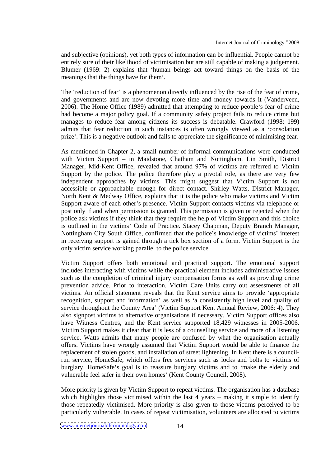and subjective (opinions), yet both types of information can be influential. People cannot be entirely sure of their likelihood of victimisation but are still capable of making a judgement. Blumer (1969: 2) explains that 'human beings act toward things on the basis of the meanings that the things have for them'.

The 'reduction of fear' is a phenomenon directly influenced by the rise of the fear of crime, and governments and are now devoting more time and money towards it (Vanderveen, 2006). The Home Office (1989) admitted that attempting to reduce people's fear of crime had become a major policy goal. If a community safety project fails to reduce crime but manages to reduce fear among citizens its success is debatable. Crawford (1998: 199) admits that fear reduction in such instances is often wrongly viewed as a 'consolation prize . This is a negative outlook and fails to appreciate the significance of minimising fear.

As mentioned in Chapter 2, a small number of informal communications were conducted with Victim Support  $-$  in Maidstone, Chatham and Nottingham. Lin Smith, District Manager, Mid-Kent Office, revealed that around 97% of victims are referred to Victim Support by the police. The police therefore play a pivotal role, as there are very few independent approaches by victims. This might suggest that Victim Support is not accessible or approachable enough for direct contact. Shirley Watts, District Manager, North Kent & Medway Office, explains that it is the police who make victims and Victim Support aware of each other's presence. Victim Support contacts victims via telephone or post only if and when permission is granted. This permission is given or rejected when the police ask victims if they think that they require the help of Victim Support and this choice is outlined in the victims' Code of Practice. Stacey Chapman, Deputy Branch Manager, Nottingham City South Office, confirmed that the police's knowledge of victims' interest in receiving support is gained through a tick box section of a form. Victim Support is the only victim service working parallel to the police service.

Victim Support offers both emotional and practical support. The emotional support includes interacting with victims while the practical element includes administrative issues such as the completion of criminal injury compensation forms as well as providing crime prevention advice. Prior to interaction, Victim Care Units carry out assessments of all victims. An official statement reveals that the Kent service aims to provide 'appropriate recognition, support and information' as well as 'a consistently high level and quality of service throughout the County Area' (Victim Support Kent Annual Review, 2006: 4). They also signpost victims to alternative organisations if necessary. Victim Support offices also have Witness Centres, and the Kent service supported 18,429 witnesses in 2005-2006. Victim Support makes it clear that it is less of a counselling service and more of a listening service. Watts admits that many people are confused by what the organisation actually offers. Victims have wrongly assumed that Victim Support would be able to finance the replacement of stolen goods, and installation of street lightening. In Kent there is a councilrun service, HomeSafe, which offers free services such as locksand bolts to victims of burglary. HomeSafe's goal is to reassure burglary victims and to 'make the elderly and vulnerable feel safer in their own homes' (Kent County Council, 2008).

More priority is given by Victim Support to repeat victims. The organisation has a database which highlights those victimised within the last  $4$  years  $-$  making it simple to identify those repeatedly victimised. More priority is also given to those victims perceived to be particularly vulnerable. In cases of repeat victimisation, volunteers are allocated to victims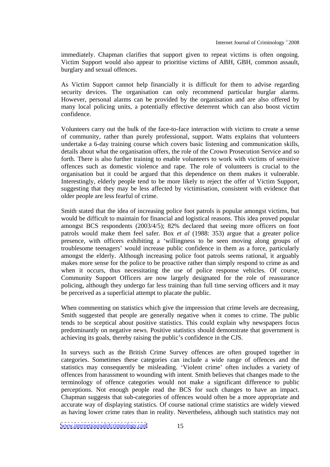immediately. Chapman clarifies that support given to repeat victims is often ongoing. Victim Support would also appear to prioritise victims of ABH, GBH, common assault, burglary and sexual offences.

As Victim Support cannot help financially it is difficult for them to advise regarding security devices. The organisation can only recommend particular burglar alarms. However, personal alarms can be provided by the organisation and are also offered by many local policing units, a potentially effective deterrent which can also boost victim confidence.

Volunteers carry out the bulk of the face-to-face interaction with victims to create a sense of community, rather than purely professional, support. Watts explains that volunteers undertake a 6-day training course which covers basic listening and communication skills, details about what the organisation offers, the role of the Crown Prosecution Service and so forth. There is also further training to enable volunteers to work with victims of sensitive offences such as domestic violence and rape. The role of volunteers is crucial to the organisation but it could be argued that this dependence on them makes it vulnerable.<br>Interestingly, elderly people tend to be more likely to reject the offer of Victim Support, suggesting that they may be less affected by victimisation, consistent with evidence that older people are less fearful of crime.

Smith stated that the idea of increasing police foot patrols is popular amongst victims, but would be difficult to maintain for financial and logistical reasons. This idea proved popular amongst BCS respondents (2003/4/5); 82% declared that seeing more officers on foot patrols would make them feel safer. Box *et al* (1988: 353) argue that a greater police presence, with officers exhibiting a willingness to be seen moving along groups of troublesome teenagers' would increase public confidence in them as a force, particularly amongst the elderly. Although increasing police foot patrols seems rational, it arguably makes more sense for the police to be proactive rather than simply respond to crime as and when it occurs, thus necessitating the use of police response vehicles. Of course, Community Support Officers are now largely designated for the role of reassurance policing, although they undergo far less training than full time serving officers and it may be perceived as a superficial attempt to placate the public.

When commenting on statistics which give the impression that crime levels are decreasing. Smith suggested that people are generally negative when it comes to crime. The public tends to be sceptical about positive statistics. This could explain why newspapers focus predominantly on negative news. Positive statistics should demonstrate that government is achieving its goals, thereby raising the public's confidence in the CJS.

In surveys such as the British Crime Survey offences are often grouped together in categories. Sometimes these categories can include a wide range of offences and the statistics may consequently be misleading. 'Violent crime' often includes a variety of offences from harassment to wounding with intent. Smith believes that changes made to the terminology of offence categories would not make a significant difference to public perceptions. Not enough people read the BCS for such changes to have an impact. Chapman suggests that sub-categories of offences would often be a more appropriate and accurate way of displaying statistics. Of course national crime statistics are widely viewed as having lower crime rates than in reality. Nevertheless, although such statistics may not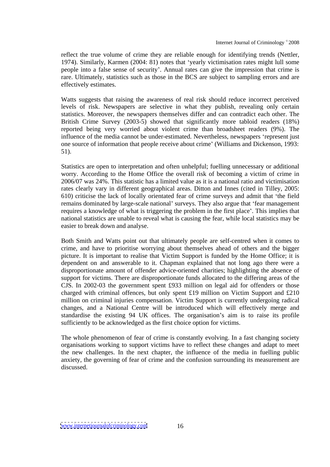reflect the true volume of crime they are reliable enough for identifying trends (Nettler, 1974). Similarly, Karmen (2004: 81) notes that 'yearly victimisation rates might lull some people into a false sense of security . Annual rates can give the impression that crime is rare. Ultimately, statistics such as those in the BCS are subject to sampling errors and are effectively estimates.

Watts suggests that raising the awareness of real risk should reduce incorrect perceived levels of risk. Newspapers are selective in what they publish, revealing only certain statistics. Moreover, the newspapers themselves differ and can contradict each other.The British Crime Survey (2003-5) showed that significantly more tabloid readers (18%) reported being very worried about violent crime than broadsheet readers (9%). The influence of the media cannot be under-estimated. Nevertheless, newspapers 'represent just one source of information that people receive about crime' (Williams and Dickenson, 1993: 51).

Statistics are open to interpretation and often unhelpful; fuelling unnecessary or additional worry. According to the Home Office the overall risk of becoming a victim of crime in 2006/07 was 24%. This statistic has a limited value as it is a national ratio and victimisation rates clearly vary in different geographical areas. Ditton and Innes (cited in Tilley, 2005:  $610$ ) criticise the lack of locally orientated fear of crime surveys and admit that 'the field remains dominated by large-scale national' surveys. They also argue that 'fear management requires a knowledge of what is triggering the problem in the first place . This implies that national statistics are unable to reveal what is causing the fear, while local statistics may be easier to break down and analyse.

Both Smith and Watts point out that ultimately people are self-centred when it comes to crime, and have to prioritise worrying about themselves ahead of others and the bigger picture. It is important to realise that Victim Support is funded by the Home Office; it is dependent on and answerable to it. Chapman explained that not long ago there were a disproportionate amount of offender advice-oriented charities; highlighting the absence of support for victims. There are disproportionate funds allocated to the differing areas of the CJS. In 2002-03 the government spent £933 million on legal aid for offenders or those charged with criminal offences, but only spent £19 million on Victim Support and £210 million on criminal injuries compensation. Victim Support is currently undergoing radical changes, and a National Centre will be introduced which will effectively merge and standardise the existing 94 UK offices. The organisation's aim is to raise its profile sufficiently to be acknowledged as the first choice option for victims.

The whole phenomenon of fear of crime is constantly evolving. In a fast changing society organisations working to support victims have to reflect these changes and adapt to meet the new challenges. In the next chapter, the influence of the media in fuelling public anxiety, the governing of fear of crime and the confusion surrounding its measurement are discussed.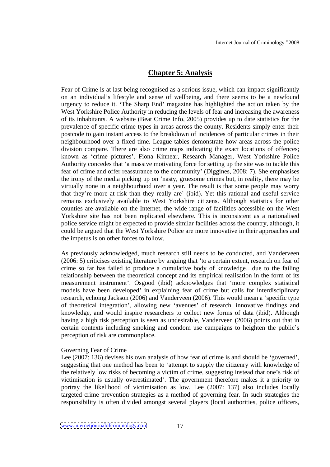## **Chapter 5: Analysis**

Fear of Crime is at last being recognised as a serious issue, which can impact significantly on an individual's lifestyle and sense of wellbeing, and there seems to be a newfound urgency to reduce it. 'The Sharp End' magazine has highlighted the action taken by the West Yorkshire Police Authority in reducing the levels of fear and increasing the awareness of its inhabitants. A website (Beat Crime Info, 2005) provides up to date statistics for the prevalence of specific crime types in areas across the county. Residents simply enter their postcode to gain instant access to the breakdown of incidences of particular crimes in their neighbourhood over a fixed time. League tables demonstrate how areas across the police division compare. There are also crime maps indicating the exact locations of offences; known as 'crime pictures'. Fiona Kinnear, Research Manager, West Yorkshire Police Authority concedes that 'a massive motivating force for setting up the site was to tackle this fear of crime and offer reassurance to the community' (Diggines, 2008: 7). She emphasises the irony of the media picking up on 'nasty, gruesome crimes but, in reality, there may be virtually none in a neighbourhood over a year. The result is that some people may worry that they're more at risk than they really are' (ibid). Yet this rational and useful service remains exclusively available to West Yorkshire citizens. Although statistics for other counties are available on the Internet, the wide range of facilities accessible on the West Yorkshire site has not been replicated elsewhere. This is inconsistent as a nationalised police service might be expected to provide similar facilities across the country, although, it could be argued that the West Yorkshire Police are more innovative in their approaches and the impetus is on other forces to follow.

As previously acknowledged, much research still needs to be conducted, and Vanderveen  $(2006: 5)$  criticises existing literature by arguing that 'to a certain extent, research on fear of crime so far has failed to produce a cumulative body of knowledge...due to the failing relationship between the theoretical concept and its empirical realisation in the form of its measurement instrument. Osgood (ibid) acknowledges that 'more complex statistical models have been developed' in explaining fear of crime but calls for interdisciplinary research, echoing Jackson (2006) and Vanderveen (2006). This would mean a 'specific type of theoretical integration', allowing new 'avenues' of research, innovative findings and knowledge, and would inspire researchers to collect new forms of data (ibid). Although having a high risk perception is seen as undesirable, Vanderveen (2006) points out that in certain contexts including smoking and condom use campaigns to heighten the public's perception of risk are commonplace.

#### Governing Fear of Crime

Lee  $(2007: 136)$  devises his own analysis of how fear of crime is and should be 'governed', suggesting that one method has been to 'attempt to supply the citizenry with knowledge of the relatively low risks of becoming a victim of crime, suggesting instead that one's risk of victimisation is usually overestimated. The government therefore makes it a priority to portray the likelihood of victimisation as low. Lee (2007: 137) also includes locally targeted crime prevention strategies as a method of governing fear. In such strategies the responsibility is often divided amongst several players (local authorities, police officers,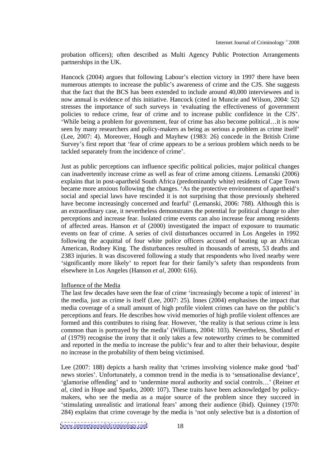probation officers); often described as Multi Agency Public Protection Arrangements partnerships in the UK.

Hancock (2004) argues that following Labour's election victory in 1997 there have been numerous attempts to increase the public's awareness of crime and the CJS. She suggests that the fact that the BCS has been extended to include around 40,000 interviewees and is now annual is evidence of this initiative. Hancock (cited in Muncie and Wilson, 2004: 52) stresses the importance of such surveys in 'evaluating the effectiveness of government policies to reduce crime, fear of crime and to increase public confidence in the CJS . While being a problem for government, fear of crime has also become political... it is now seen by many researchers and policy-makers as being as serious a problem as crime itself (Lee, 2007: 4). Moreover, Hough and Mayhew (1983: 26) concede in the British Crime Survey's first report that 'fear of crime appears to be a serious problem which needs to be tackled separately from the incidence of crime .

Just as public perceptions can influence specific political policies, major political changes can inadvertently increase crime as well as fear of crime among citizens. Lemanski (2006) explains that in post-apartheid South Africa (predominantly white) residents of Cape Town became more anxious following the changes. 'As the protective environment of apartheid's social and special laws have rescinded it is not surprising that those previously sheltered have become increasingly concerned and fearful' (Lemanski, 2006: 788). Although this is an extraordinary case, it nevertheless demonstrates the potential for political change to alter perceptions and increase fear. Isolated crime events can also increase fear among residents of affected areas. Hanson *et al* (2000) investigated the impact of exposure to traumatic events on fear of crime. A series of civil disturbances occurred in Los Angeles in 1992 following the acquittal of four white police officers accused of beating up an African American, Rodney King. The disturbances resulted in thousands of arrests, 53 deaths and 2383 injuries. It was discovered following a study that respondents who lived nearby were 'significantly more likely' to report fear for their family's safety than respondents from elsewhere in Los Angeles (Hanson *et al*, 2000: 616).

#### Influence of the Media **Influence** of the Media

The last few decades have seen the fear of crime 'increasingly become a topic of interest' in the media, just as crime is itself (Lee, 2007: 25). Innes (2004) emphasises the impact that media coverage of a small amount of high profile violent crimes can have on the public's perceptions and fears. He describes how vivid memories of high profile violent offences are formed and this contributes to rising fear. However, 'the reality is that serious crime is less common than is portrayed by the media (Williams, 2004: 103). Nevertheless, Shotland *et al* (1979) recognise the irony that it only takes a few noteworthy crimes to be committed and reported in the media to increase the public's fear and to alter their behaviour, despite no increase in the probability of them being victimised.

Lee  $(2007: 188)$  depicts a harsh reality that 'crimes involving violence make good 'bad' news stories'. Unfortunately, a common trend in the media is to 'sensationalise deviance'. 'glamorise offending' and to 'undermine moral authority and social controls...' (Reiner *et al*, cited in Hope and Sparks, 2000: 107). These traits have been acknowledged by policy makers, who see the media as a major source of the problem since they succeed in 'stimulating unrealistic and irrational fears' among their audience (ibid). Quinney (1970: 284) explains that crime coverage by the media is 'not only selective but is a distortion of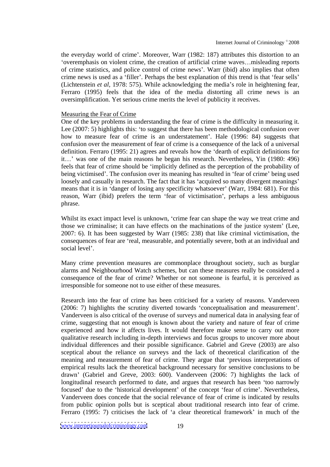the everyday world of crime . Moreover, Warr (1982: 187) attributes this distortion to an overemphasis on violent crime, the creation of artificial crime waves...misleading reports of crime statistics, and police control of crime news . Warr (ibid) also implies that often crime news is used as a 'filler'. Perhaps the best explanation of this trend is that 'fear sells' (Lichtenstein *et al*, 1978: 575). While acknowledging the media's role in heightening fear, Ferraro (1995) feels that the idea of the media distorting all crime news is an oversimplification. Yet serious crime merits the level of publicity it receives.

#### Measuring the Fear of Crime

One of the key problems in understanding the fear of crime is the difficulty in measuring it. Lee (2007: 5) highlights this: 'to suggest that there has been methodological confusion over how to measure fear of crime is an understatement'. Hale (1996: 84) suggests that confusion over the measurement of fear of crime is a consequence of the lack of a universal definition. Ferraro  $(1995: 21)$  agrees and reveals how the 'dearth of explicit definitions for it...' was one of the main reasons he began his research. Nevertheless, Yin (1980: 496) feels that fear of crime should be 'implicitly defined as the perception of the probability of being victimised'. The confusion over its meaning has resulted in 'fear of crime' being used loosely and casually in research. The fact that it has 'acquired so many divergent meanings' means that it is in 'danger of losing any specificity whatsoever' (Warr, 1984: 681). For this reason, Warr (ibid) prefers the term 'fear of victimisation', perhaps a less ambiguous phrase.

Whilst its exact impact level is unknown, 'crime fear can shape the way we treat crime and those we criminalise; it can have effects on the machinations of the justice system (Lee, 2007: 6). It has been suggested by Warr (1985: 238) that like criminal victimisation, the consequences of fear are 'real, measurable, and potentially severe, both at an individual and social level'.

Many crime prevention measures are commonplace throughout society, such as burglar alarms and Neighbourhood Watch schemes, but can these measures really be considered a consequence of the fear of crime? Whether or not someone is fearful, it is perceived as irresponsible for someone not to use either of these measures.

Research into the fear of crime has been criticised for a variety of reasons. Vanderveen  $(2006: 7)$  highlights the scrutiny diverted towards 'conceptualisation and measurement'. Vanderveen is also critical of the overuse of surveys and numerical data in analysing fear of crime, suggesting that not enough is known about the variety and nature of fear of crime experienced and how it affects lives. It would therefore make sense to carry out more qualitative research including in-depth interviews and focus groups to uncover more about individual differences and their possible significance. Gabriel and Greve (2003) are also sceptical about the reliance on surveys and the lack of theoretical clarification of the meaning and measurement of fear of crime. They argue that 'previous interpretations of empirical results lack the theoretical background necessary for sensitive conclusions to be drawn (Gabriel and Greve, 2003: 600). Vanderveen (2006: 7) highlights the lack of longitudinal research performed to date, and argues that research has been 'too narrowly focused' due to the 'historical development' of the concept 'fear of crime'. Nevertheless, Vanderveen does concede that the social relevance of fear of crime is indicated by results from public opinion polls but is sceptical about traditional research into fear of crime. Ferraro (1995: 7) criticises the lack of 'a clear theoretical framework' in much of the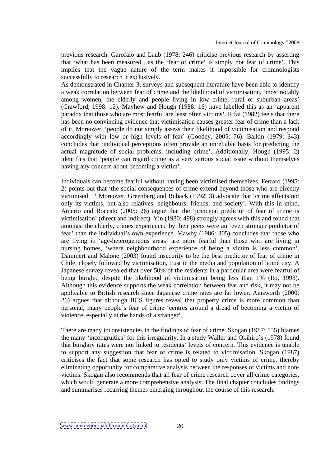previous research. Garofalo and Laub (1978: 246) criticise previous research by asserting that 'what has been measured...as the 'fear of crime' is simply not fear of crime'. This implies that the vague nature of the term makes it impossible for criminologists successfully to research it exclusively.

As demonstrated in Chapter 3, surveys and subsequent literature have been able to identify a weak correlation between fear of crime and the likelihood of victimisation, most notably among women, the elderly and people living in low crime, rural or suburban areas' (Crawford, 1998: 12). Mayhew and Hough (1988: 16) have labelled this as an 'apparent paradox that those who are most fearful are least often victims . Rifai (1982) feels that there has been no convincing evidence that victimisation causes greater fear of crime than a lack of it. Moreover, 'people do not simply assess their likelihood of victimisation and respond accordingly with low or high levels of fear' (Goodey, 2005: 76). Balkin (1979: 343) concludes that 'individual perceptions often provide an unreliable basis for predicting the actual magnitude of social problems, including crime'. Additionally, Hough (1995: 2) identifies that 'people can regard crime as a very serious social issue without themselves having any concern about becoming a victim'.

Individuals can become fearful without having been victimised themselves. Ferraro (1995: 2) points out that 'the social consequences of crime extend beyond those who are directly victimised...' Moreover, Greenberg and Ruback (1992: 3) advocate that 'crime affects not only its victims, but also relatives, neighbours, friends, and society . With this in mind, Amerio and Roccato (2005: 26) argue that the 'principal predictor of fear of crime is victimisation' (direct and indirect). Yin (1980: 498) strongly agrees with this and found that amongst the elderly, crimes experienced by their peers were an 'even stronger predictor of fear' than the individual's own experience. Mawby (1986: 305) concludes that those who are living in 'age-heterogeneous areas' are more fearful than those who are living in nursing homes, 'where neighbourhood experience of being a victim is less common'.<br>Dammert and Malone (2003) found insecurity to be the best predictor of fear of crime in Chile, closely followed by victimisation, trust in the media and population of home city. A Japanese survey revealed that over 50% of the residents in a particular area were fearful of being burgled despite the likelihood of victimisation being less than 1% (Ito, 1993). Although this evidence supports the weak correlation between fear and risk, it may not be applicable to British research since Japanese crime rates are far lower. Ainsworth (2000: 26) argues that although BCS figures reveal that property crime is more common than personal, many people's fear of crime 'centres around a dread of becoming a victim of violence, especially at the hands of a stranger'.

There are many inconsistencies in the findings of fear of crime. Skogan (1987: 135) blames the many 'incongruities' for this irregularity. In a study Waller and Okihiro's (1978) found that burglary rates were not linked to residents' levels of concern. This evidence is unable to support any suggestion that fear of crime is related to victimisation. Skogan (1987) criticises the fact that some research has opted to study only victims of crime, thereby eliminating opportunity for comparative analysis between the responses of victims and non victims. Skogan also recommends that all fear of crime research cover all crime categories, which would generate a more comprehensive analysis. The final chapter concludes findings and summarises recurring themes emerging throughout the course of this research.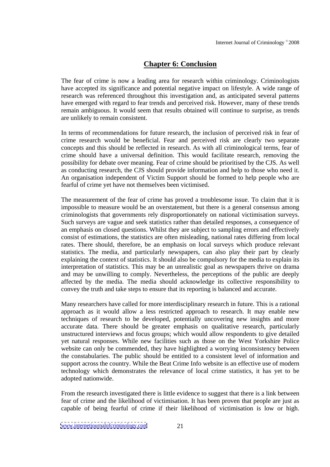# **Chapter 6: Conclusion**

The fear of crime is now a leading area for research within criminology. Criminologists have accepted its significance and potential negative impact on lifestyle. A wide range of research was referenced throughout this investigation and, as anticipated several patterns have emerged with regard to fear trends and perceived risk. However, many of these trends remain ambiguous. It would seem that results obtained will continue to surprise, as trends are unlikely to remain consistent.

In terms of recommendations for future research, the inclusion of perceived risk in fear of crime research would be beneficial. Fear and perceived risk are clearly two separate concepts and this should be reflected in research. As with all criminological terms, fear of crime should have a universal definition. This would facilitate research, removing the possibility for debate over meaning. Fear of crime should be prioritised by the CJS. As well as conducting research, the CJS should provide information and help to those who need it. An organisation independent of Victim Support should be formed to help people who are fearful of crime yet have not themselves been victimised.

The measurement of the fear of crime has proved a troublesome issue. To claim that it is impossible to measure would be an overstatement, but there is a general consensus among criminologists that governments rely disproportionately on national victimisation surveys. Such surveys are vague and seek statistics rather than detailed responses, a consequence of an emphasis on closed questions. Whilst they are subject to sampling errors and effectively consist of estimations, the statistics are often misleading, national rates differing from local rates. There should, therefore, be an emphasis on local surveys which produce relevant statistics. The media, and particularly newspapers, can also play their part by clearly explaining the context of statistics. It should also be compulsory for the media to explain its interpretation of statistics. This may be an unrealistic goal as newspapers thrive on drama and may be unwilling to comply. Nevertheless, the perceptions of the public are deeply affected by the media. The media should acknowledge its collective responsibility to convey the truth and take steps to ensure that its reporting is balanced and accurate.

Many researchers have called for more interdisciplinary research in future. This is a rational approach as it would allow a less restricted approach to research. It may enable new techniques of research to be developed, potentially uncovering new insights and more accurate data. There should be greater emphasis on qualitative research, particularly unstructured interviews and focus groups; which would allow respondents to give detailed yet natural responses. While new facilities such as those on the West Yorkshire Police website can only be commended, they have highlighted a worrying inconsistency between the constabularies. The public should be entitled to a consistent level of information and support across the country. While the Beat Crime Info website is an effective use of modern technology which demonstrates the relevance of local crime statistics, it has yet to be adopted nationwide.

From the research investigated there is little evidence to suggest that there is a link between fear of crime and the likelihood of victimisation. It has been proven that people are just as capable of being fearful of crime if their likelihood of victimisation is low or high.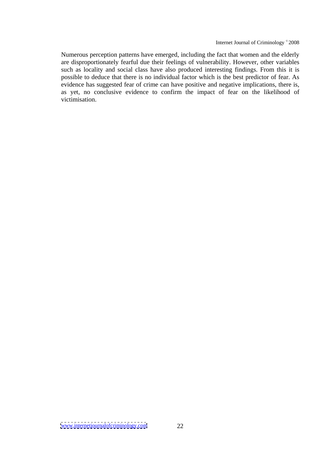Numerous perception patterns have emerged, including the fact that women and the elderly are disproportionately fearful due their feelings of vulnerability. However, other variables such as locality and social class have also produced interesting findings. From this it is possible to deduce that there is no individual factor which is the best predictor of fear. As evidence has suggested fear of crime can have positive and negative implications, there is, as yet, no conclusive evidence to confirm the impact of fear on the likelihood of victimisation.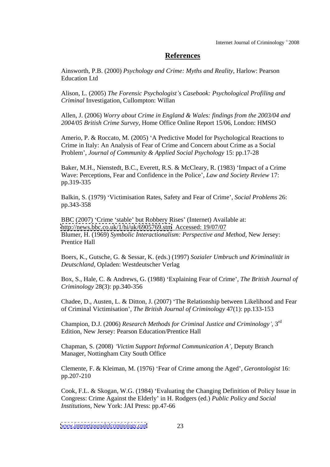## **References**

Ainsworth, P.B. (2000) *Psychology and Crime: Myths and Reality,* Harlow: Pearson Education Ltd

Alison, L. (2005) *The Forensic Psychologist s Casebook: Psychological Profiling and Criminal* Investigation, Cullompton: Willan

Allen, J. (2006) *Worry about Crime in England & Wales: findings from the 2003/04 and 2004/05 British Crime Survey,* Home Office Online Report 15/06, London: HMSO

Amerio, P. & Roccato, M. (2005) 'A Predictive Model for Psychological Reactions to Crime in Italy: An Analysis of Fear of Crime and Concern about Crime as a Social Problem , *Journal of Community & Applied Social Psychology* 15: pp.17-28

Baker, M.H., Nienstedt, B.C., Everett, R.S. & McCleary, R. (1983) 'Impact of a Crime Wave: Perceptions, Fear and Confidence in the Police , *Law and Society Review* 17: pp.319-335

Balkin, S. (1979) Victimisation Rates, Safety and Fear of Crime , *Social Problems* 26: pp.343-358

BBC (2007) 'Crime 'stable' but Robbery Rises' (Internet) Available at: <http://news.bbc.co.uk/1/hi/uk/6905769.stm> Accessed: 19/07/07 Blumer, H. (1969) *Symbolic Interactionalism: Perspective and Method,* New Jersey: Prentice Hall **Prentice** Hall

Boers, K., Gutsche, G. & Sessar, K. (eds.) (1997) *Sozialer Umbruch und Kriminalität in Deutschland,* Opladen: Westdeutscher Verlag

Box, S., Hale, C. & Andrews, G. (1988) Explaining Fear of Crime , *The British Journal of Criminology* 28(3): pp.340-356

Chadee, D., Austen, L. & Ditton, J. (2007) The Relationship between Likelihood and Fear of Criminal Victimisation , *The British Journal of Criminology* 47(1): pp.133-153

Champion, D.J. (2006) *Research Methods for Criminal Justice and Criminology ,* 3 rd Edition, New Jersey: Pearson Education/Prentice Hall

Chapman, S. (2008) *Victim Support Informal Communication A ,* Deputy Branch Manager, Nottingham City South Office

Clemente, F. & Kleiman, M. (1976) Fear of Crime among the Aged , *Gerontologist* 16: pp.207-210

Cook, F.L. & Skogan, W.G. (1984) Evaluating the Changing Definition of Policy Issue in Congress: Crime Against the Elderly' in H. Rodgers (ed.) *Public Policy and Social Institutions,* New York: JAI Press: pp.47-66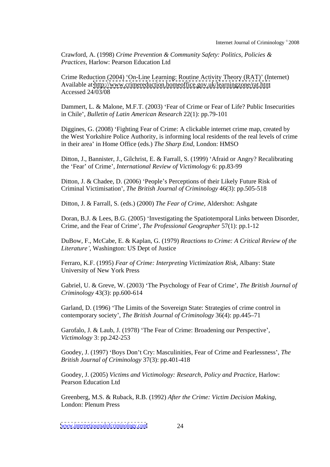Crawford, A. (1998) *Crime Prevention & Community Safety: Politics, Policies & Practices,* Harlow: Pearson Education Ltd

Crime Reduction (2004) 'On-Line Learning: Routine Activity Theory (RAT)' (Internet) Available at <http://www.crimereduction.homeoffice.gov.uk/learningzone/rat.htm> Accessed 24/03/08

Dammert, L. & Malone, M.F.T. (2003) 'Fear of Crime or Fear of Life? Public Insecurities in Chile , *Bulletin of Latin American Research* 22(1): pp.79-101

Diggines, G. (2008) Fighting Fear of Crime: A clickable internet crime map, created by the West Yorkshire Police Authority, is informing local residents of the real levels of crime in their area' in Home Office (eds.) *The Sharp End*, London: HMSO

Ditton, J., Bannister, J., Gilchrist, E. & Farrall, S. (1999) 'Afraid or Angry? Recalibrating the Fear of Crime , *International Review of Victimology* 6: pp.83-99

Ditton, J. & Chadee, D. (2006) 'People's Perceptions of their Likely Future Risk of Criminal Victimisation , *The British Journal of Criminology* 46(3): pp.505-518

Ditton, J. & Farrall, S. (eds.) (2000) *The Fear of Crime,* Aldershot: Ashgate

Doran, B.J. & Lees, B.G. (2005) 'Investigating the Spatiotemporal Links between Disorder, Crime, and the Fear of Crime , *The Professional Geographer* 57(1): pp.1-12

DuBow, F., McCabe, E. & Kaplan, G. (1979) *Reactions to Crime: A Critical Review of the Literature* , Washington: US Dept of Justice

Ferraro, K.F. (1995) *Fear of Crime: Interpreting Victimization Risk,* Albany: State University of New York Press

Gabriel, U. & Greve, W. (2003) The Psychology of Fear of Crime , *The British Journal of Criminology* 43(3): pp.600-614

Garland, D. (1996) The Limits of the Sovereign State: Strategies of crime control in contemporary society', *The British Journal of Criminology* 36(4): pp.445–71

Garofalo, J. & Laub, J. (1978) 'The Fear of Crime: Broadening our Perspective', *Victimology* 3: pp.242-253

Goodey, J. (1997) 'Boys Don't Cry: Masculinities, Fear of Crime and Fearlessness', The *British Journal of Criminology* 37(3): pp.401-418

Goodey, J. (2005) *Victims and Victimology: Research, Policy and Practice*, Harlow: Pearson Education Ltd

Greenberg, M.S. & Ruback, R.B. (1992) *After the Crime: Victim Decision Making*, London: Plenum Press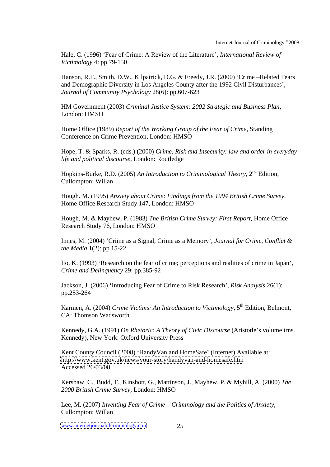Hale, C. (1996) Fear of Crime: A Review of the Literature , *International Review of Victimology* 4: pp.79-150

Hanson, R.F., Smith, D.W., Kilpatrick, D.G. & Freedy, J.R. (2000) 'Crime - Related Fears and Demographic Diversity in Los Angeles County after the 1992 Civil Disturbances , *Journal of Community Psychology* 28(6): pp.607-623

HM Government (2003) *Criminal Justice System: 2002 Strategic and Business Plan*, London: HMSO

Home Office (1989) *Report of the Working Group of the Fear of Crime,* Standing Conference on Crime Prevention, London: HMSO

Hope, T. & Sparks, R. (eds.) (2000) *Crime, Risk and Insecurity: law and order in everyday life and political discourse*, London: Routledge

Hopkins-Burke, R.D. (2005) *An Introduction to Criminological Theory,* 2 <sup>nd</sup> Edition, Cullompton: Willan

Hough. M. (1995) *Anxiety about Crime: Findings from the 1994 British Crime Survey,* Home Office Research Study 147, London: HMSO

Hough, M. & Mayhew, P. (1983) *The British Crime Survey: First Report,* Home Office Research Study 76, London: HMSO

Innes, M. (2004) Crime as a Signal, Crime as a Memory , *Journal for Crime, Conflict & the Media* 1(2): pp.15-22

Ito, K. (1993) 'Research on the fear of crime; perceptions and realities of crime in Japan', *Crime and Delinquency* 29: pp.385-92

Jackson, J. (2006) Introducing Fear of Crime to Risk Research , *Risk Analysis* 26(1): pp.253-264

Karmen, A. (2004) *Crime Victims: An Introduction to Victimology,* 5 <sup>th</sup> Edition, Belmont, CA: Thomson Wadsworth

Kennedy, G.A. (1991) *On Rhetoric: A Theory of Civic Discourse* (Aristotle's volume trns. Kennedy), New York: Oxford University Press

Kent County Council (2008) 'HandyVan and HomeSafe' (Internet) Available at: <http://www.kent.gov.uk/news/your-story/handyvan-and-homesafe.htm> Accessed  $26/03/08$ 

Kershaw, C., Budd, T., Kinshott, G., Mattinson, J., Mayhew, P. & Myhill, A. (2000) *The 2000 British Crime Survey,* London: HMSO

Lee, M. (2007) *Inventing Fear of Crime Criminology and the Politics of Anxiety*, Cullompton: Willan

[www.internetjournalofcriminology.com](http://www.internetjournalofcriminology.com) 25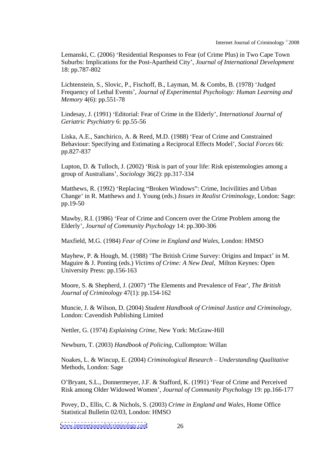Internet Journal of Criminology<sup>®</sup> 2008  $^{\circ}$  2008

Lemanski, C. (2006) 'Residential Responses to Fear (of Crime Plus) in Two Cape Town Suburbs: Implications for the Post-Apartheid City , *Journal of International Development* 18: pp.787-802

Lichtenstein, S., Slovic, P., Fischoff, B., Layman, M. & Combs, B. (1978) 'Judged Frequency of Lethal Events , *Journal of Experimental Psychology: Human Learning and Memory* 4(6): pp.551-78

Lindesay, J. (1991) Editorial: Fear of Crime in the Elderly , *International Journal of Geriatric Psychiatry* 6: pp.55-56

Liska, A.E., Sanchirico, A. & Reed, M.D. (1988) 'Fear of Crime and Constrained Behaviour: Specifying and Estimating a Reciprocal Effects Model , *Social Forces* 66: pp.827-837

Lupton, D. & Tulloch, J. (2002) 'Risk is part of your life: Risk epistemologies among a group of Australians , *Sociology* 36(2): pp.317-334

Matthews, R. (1992) 'Replacing "Broken Windows": Crime, Incivilities and Urban Change in R. Matthews and J. Young (eds.) *Issues in Realist Criminology*, London: Sage: pp.19-50

Mawby, R.I. (1986) 'Fear of Crime and Concern over the Crime Problem among the Elderly , *Journal of Community Psychology* 14: pp.300-306

Maxfield, M.G. (1984) *Fear of Crime in England and Wales*, London: HMSO

Mayhew, P. & Hough, M. (1988) 'The British Crime Survey: Origins and Impact' in M. Maguire & J. Ponting (eds.) *Victims of Crime: A New Deal*, Milton Keynes: Open University Press: pp.156-163

Moore, S. & Shepherd, J. (2007) The Elements and Prevalence of Fear , *The British Journal of Criminology* 47(1): pp.154-162

Muncie, J. & Wilson, D. (2004) *Student Handbook of Criminal Justice and Criminology,* London: Cavendish Publishing Limited

Nettler, G. (1974) *Explaining Crime,* New York: McGraw-Hill

Newburn, T. (2003) *Handbook of Policing,* Cullompton: Willan

Noakes, L. & Wincup, E. (2004) *Criminological Research Understanding Qualitative* Methods, London: Sage

O Bryant, S.L., Donnermeyer, J.F. & Stafford, K. (1991) Fear of Crime and Perceived Risk among Older Widowed Women , *Journal of Community Psychology* 19: pp.166-177

Povey, D., Ellis, C. & Nichols, S. (2003) *Crime in England and Wales,* Home Office Statistical Bulletin 02/03, London: HMSO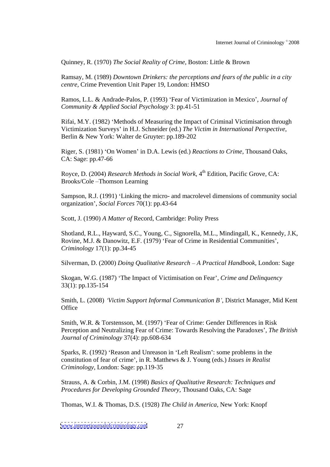Quinney, R. (1970) *The Social Reality of Crime*, Boston: Little & Brown

Ramsay, M. (1989) *Downtown Drinkers: the perceptions and fears of the public in a city centre,* Crime Prevention Unit Paper 19, London: HMSO

Ramos, L.L. & Andrade-Palos, P. (1993) Fear of Victimization in Mexico , *Journal of Community & Applied Social Psychology* 3: pp.41-51

Rifai, M.Y. (1982) 'Methods of Measuring the Impact of Criminal Victimisation through Victimization Surveys in H.J. Schneider (ed.) *The Victim in International Perspective,* Berlin & New York: Walter de Gruyter: pp.189-202

Riger, S. (1981) 'On Women' in D.A. Lewis (ed.) *Reactions to Crime*, Thousand Oaks, CA: Sage: pp.47-66

Royce, D. (2004) *Research Methods in Social Work,* 4 th Edition, Pacific Grove, CA: Brooks/Cole Thomson Learning

Sampson, R.J. (1991) 'Linking the micro- and macrolevel dimensions of community social organization , *Social Forces* 70(1): pp.43-64

Scott, J. (1990) *A Matter of* Record, Cambridge: Polity Press

Shotland, R.L., Hayward, S.C., Young, C., Signorella, M.L., Mindingall, K., Kennedy, J.K, Rovine, M.J. & Danowitz, E.F. (1979) 'Fear of Crime in Residential Communities', *Criminology* 17(1): pp.34-45

Silverman, D. (2000) *Doing Qualitative Research A Practical Handbook,* London: Sage

Skogan, W.G. (1987) The Impact of Victimisation on Fear , *Crime and Delinquency* 33(1): pp.135-154

Smith, L. (2008) *Victim Support Informal Communication B* , District Manager, Mid Kent Office the contract of the contract of the contract of the contract of the contract of the contract of the contract of the contract of the contract of the contract of the contract of the contract of the contract of the con

Smith, W.R. & Torstensson, M. (1997) 'Fear of Crime: Gender Differences in Risk Perception and Neutralizing Fear of Crime: Towards Resolving the Paradoxes , *The British Journal of Criminology* 37(4): pp.608-634

Sparks, R. (1992) 'Reason and Unreason in 'Left Realism': some problems in the constitution of fear of crime , in R. Matthews & J. Young (eds.) *Issues in Realist Criminology,* London: Sage: pp.119-35

Strauss, A. & Corbin, J.M. (1998) *Basics of Qualitative Research: Techniques and Procedures for Developing Grounded Theory,* Thousand Oaks, CA: Sage

Thomas, W.I. & Thomas, D.S. (1928) *The Child in America,* New York: Knopf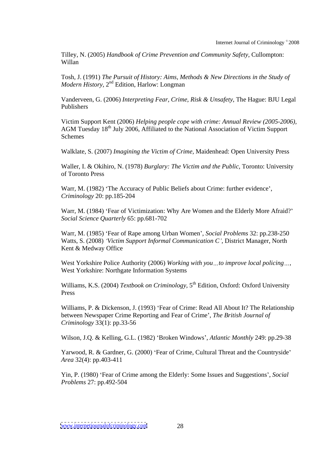Tilley, N. (2005) *Handbook of Crime Prevention and Community Safety,* Cullompton: Willan

Tosh, J. (1991) *The Pursuit of History: Aims, Methods & New Directions in the Study of Modern History,*  $2^{nd}$  Edition, Harlow: Longman

Vanderveen, G. (2006) *Interpreting Fear, Crime, Risk & Unsafety,* The Hague: BJU Legal Publishers

Victim Support Kent (2006) *Helping people cope with crime: Annual Review (2005-2006),* AGM Tuesday 18<sup>th</sup> July 2006, Affiliated to the National Association of Victim Support Schemes and the state of the state of the state of the state of the state of the state of the state of the state of the state of the state of the state of the state of the state of the state of the state of the state of th

Walklate, S. (2007) *Imagining the Victim of Crime,* Maidenhead: Open University Press

Waller, I. & Okihiro, N. (1978) *Burglary: The Victim and the Public,* Toronto: University of Toronto Press

Warr, M. (1982) 'The Accuracy of Public Beliefs about Crime: further evidence', *Criminology* 20: pp.185-204

Warr, M. (1984) 'Fear of Victimization: Why Are Women and the Elderly More Afraid?' *Social Science Quarterly* 65: pp.681-702

Warr, M. (1985) Fear of Rape among Urban Women , *Social Problems* 32: pp.238-250 Watts, S. (2008) *Victim Support Informal Communication C ,* District Manager, North Kent & Medway Office **Example 2018** 

West Yorkshire Police Authority (2006) *Working with you to improve local policing ,* West Yorkshire: Northgate Information Systems

Williams, K.S. (2004) *Textbook on Criminology,* 5 th Edition, Oxford: Oxford University Press **Press** 

Williams, P. & Dickenson, J. (1993) 'Fear of Crime: Read All About It? The Relationship between Newspaper Crime Reporting and Fear of Crime , *The British Journal of Criminology* 33(1): pp.33-56

Wilson, J.O. & Kelling, G.L. (1982) 'Broken Windows', *Atlantic Monthly* 249: pp.29-38

Yarwood, R. & Gardner, G. (2000) 'Fear of Crime, Cultural Threat and the Countryside' *Area* 32(4): pp.403-411

Yin, P. (1980) Fear of Crime among the Elderly: Some Issues and Suggestions , *Social Problems* 27: pp.492-504